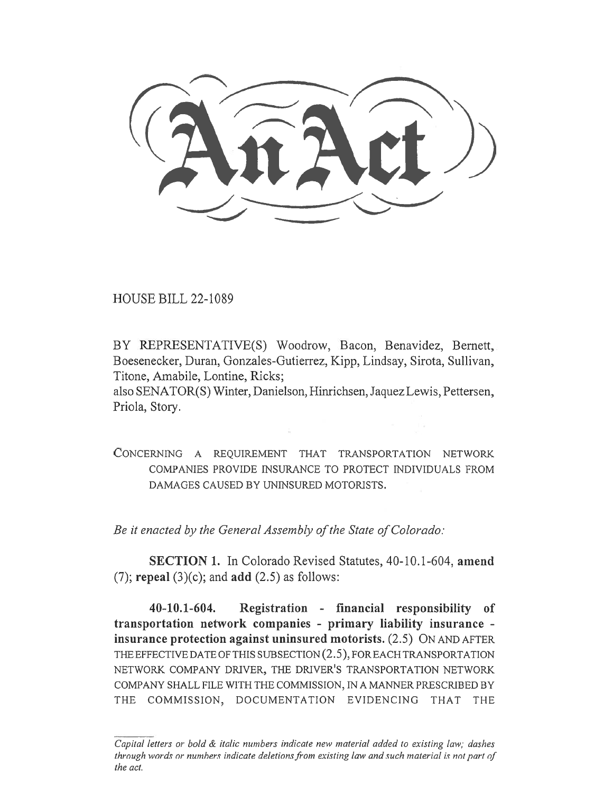HOUSE BILL 22-1089

BY REPRESENTATIVE(S) Woodrow, Bacon, Benavidez, Bernett, Boesenecker, Duran, Gonzales-Gutierrez, Kipp, Lindsay, Sirota, Sullivan, Titone, Amabile, Lontine, Ricks;

also SENATOR(S) Winter, Danielson, Hinrichsen, Jaquez Lewis, Pettersen, Priola, Story.

CONCERNING A REQUIREMENT THAT TRANSPORTATION NETWORK COMPANIES PROVIDE INSURANCE TO PROTECT INDIVIDUALS FROM DAMAGES CAUSED BY UNINSURED MOTORISTS.

Be it enacted by the General Assembly of the State of Colorado:

SECTION 1. In Colorado Revised Statutes, 40-10.1-604, amend (7); repeal  $(3)(c)$ ; and add  $(2.5)$  as follows:

40-10.1-604. Registration - financial responsibility of transportation network companies - primary liability insurance insurance protection against uninsured motorists. (2.5) ON AND AFTER THE EFFECTIVE DATE OF THIS SUBSECTION (2.5), FOR EACH TRANSPORTATION NETWORK COMPANY DRIVER, THE DRIVER'S TRANSPORTATION NETWORK COMPANY SHALL FILE WITH THE COMMISSION, IN A MANNER PRESCRIBED BY THE COMMISSION, DOCUMENTATION EVIDENCING THAT THE

Capital letters or bold & italic numbers indicate new material added to existing law; dashes through words or numbers indicate deletions from existing law and such material is not part of the act.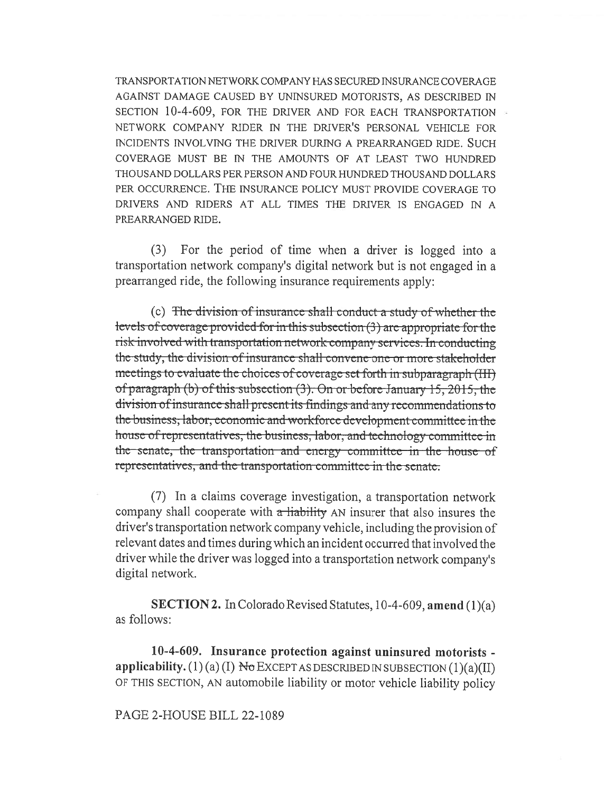TRANSPORTATION NETWORK COMPANY HAS SECURED INSURANCE COVERAGE AGAINST DAMAGE CAUSED BY UNINSURED MOTORISTS, AS DESCRIBED IN SECTION 10-4-609, FOR THE DRIVER AND FOR EACH TRANSPORTATION NETWORK COMPANY RIDER IN THE DRIVER'S PERSONAL VEHICLE FOR INCIDENTS INVOLVING THE DRIVER DURING A PREARRANGED RIDE. SUCH COVERAGE MUST BE IN THE AMOUNTS OF AT LEAST TWO HUNDRED THOUSAND DOLLARS PER PERSON AND FOUR HUNDRED THOUSAND DOLLARS PER OCCURRENCE. THE INSURANCE POLICY MUST PROVIDE COVERAGE TO DRIVERS AND RIDERS AT ALL TIMES THE DRIVER IS ENGAGED IN A PREARRANGED RIDE.

(3) For the period of time when a driver is logged into a transportation network company's digital network but is not engaged in a prearranged ride, the following insurance requirements apply:

(c) The division of insurance shall conduct a study of whether the levels of coverage provided for in this subsection  $(3)$  are appropriate for the risk involved with transportation network company services. In conducting the study, the division of insurance shall convene one or more stakeholder meetings to evaluate the choices of coverage set forth in subparagraph (III) of paragraph (b) of this subsection (3). On or before January 15, 2015, the division of insurance shall present its findings and any recommendations to the business, labor, economic and workforce development committee in the house of representatives, the business, labor, and technology committee in the senate, the transportation and energy committee in the house of representatives, and the transportation committee in the senate.

(7) In a claims coverage investigation, a transportation network company shall cooperate with  $\alpha$  highlifty AN insurer that also insures the driver's transportation network company vehicle, including the provision of relevant dates and times during which an incident occurred that involved the driver while the driver was logged into a transportation network company's digital network.

**SECTION 2.** In Colorado Revised Statutes, 10-4-609, amend  $(1)(a)$ as follows:

10-4-609. Insurance protection against uninsured motorists applicability. (1) (a) (I)  $N\sigma$  EXCEPT AS DESCRIBED IN SUBSECTION (1)(a)(II) OF THIS SECTION, AN automobile liability or motor vehicle liability policy

## PAGE 2-HOUSE BILL 22-1089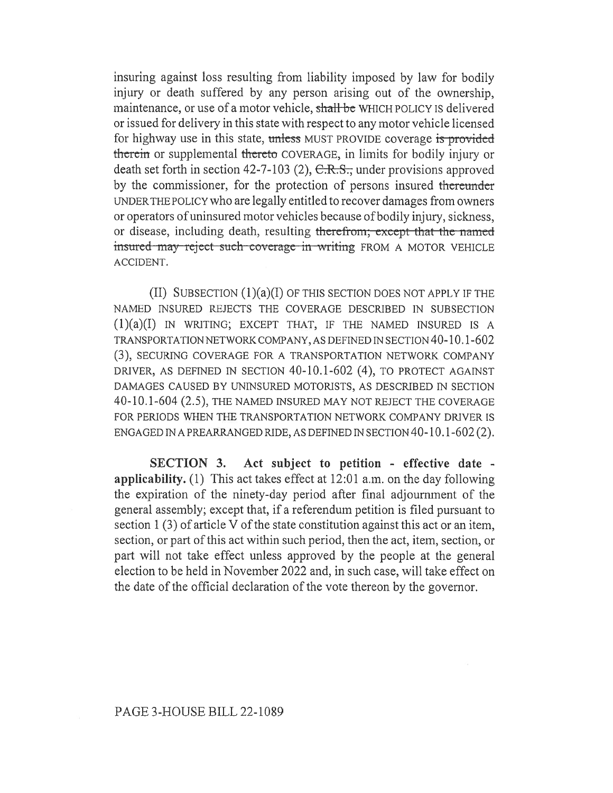insuring against loss resulting from liability imposed by law for bodily injury or death suffered by any person arising out of the ownership, maintenance, or use of a motor vehicle, shall be WHICH POLICY IS delivered or issued for delivery in this state with respect to any motor vehicle licensed for highway use in this state, unless MUST PROVIDE coverage is provided therein or supplemental thereto COVERAGE, in limits for bodily injury or death set forth in section 42-7-103 (2),  $C.R.S.,$  under provisions approved by the commissioner, for the protection of persons insured thereunder UNDER THE POLICY who are legally entitled to recover damages from owners or operators of uninsured motor vehicles because of bodily injury, sickness, or disease, including death, resulting therefrom; except that the named insured may reject such coverage in writing FROM A MOTOR VEHICLE ACCIDENT.

(II) SUBSECTION  $(1)(a)(I)$  OF THIS SECTION DOES NOT APPLY IF THE NAMED INSURED REJECTS THE COVERAGE DESCRIBED IN SUBSECTION  $(1)(a)(I)$  IN WRITING; EXCEPT THAT, IF THE NAMED INSURED IS A TRANSPORTATION NETWORK COMPANY, AS DEFINED IN SECTION 40-10.1-602 (3), SECURING COVERAGE FOR A TRANSPORTATION NETWORK COMPANY DRIVER, AS DEFINED IN SECTION 40-10.1-602 (4), TO PROTECT AGAINST DAMAGES CAUSED BY UNINSURED MOTORISTS, AS DESCRIBED IN SECTION 40-10.1-604 (2.5), THE NAMED INSURED MAY NOT REJECT THE COVERAGE FOR PERIODS WHEN THE TRANSPORTATION NETWORK COMPANY DRIVER IS ENGAGED IN A PREARRANGED RIDE, AS DEFINED IN SECTION 40-10.1-602 (2).

SECTION 3. Act subject to petition - effective date applicability. (1) This act takes effect at 12:01 a.m. on the day following the expiration of the ninety-day period after final adjournment of the general assembly; except that, if a referendum petition is filed pursuant to section 1 (3) of article V of the state constitution against this act or an item, section, or part of this act within such period, then the act, item, section, or part will not take effect unless approved by the people at the general election to be held in November 2022 and, in such case, will take effect on the date of the official declaration of the vote thereon by the governor.